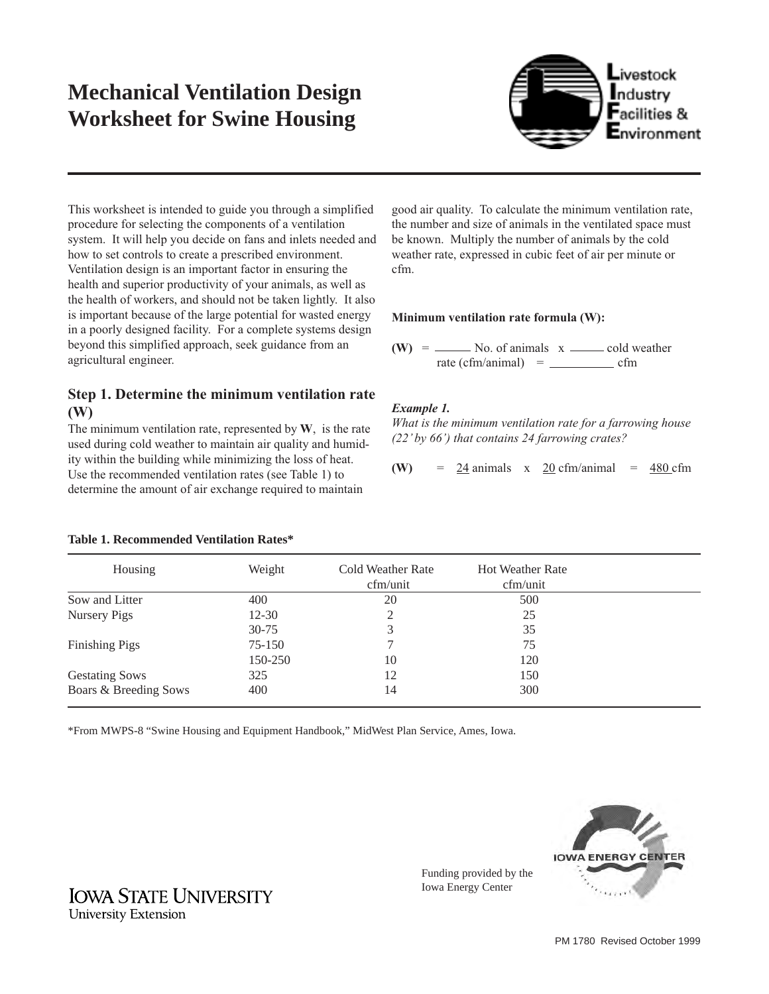# **Mechanical Ventilation Design Worksheet for Swine Housing**



This worksheet is intended to guide you through a simplified procedure for selecting the components of a ventilation system. It will help you decide on fans and inlets needed and how to set controls to create a prescribed environment. Ventilation design is an important factor in ensuring the health and superior productivity of your animals, as well as the health of workers, and should not be taken lightly. It also is important because of the large potential for wasted energy in a poorly designed facility. For a complete systems design beyond this simplified approach, seek guidance from an agricultural engineer.

## **Step 1. Determine the minimum ventilation rate (W)**

The minimum ventilation rate, represented by **W**, is the rate used during cold weather to maintain air quality and humidity within the building while minimizing the loss of heat. Use the recommended ventilation rates (see Table 1) to determine the amount of air exchange required to maintain

good air quality. To calculate the minimum ventilation rate, the number and size of animals in the ventilated space must be known. Multiply the number of animals by the cold weather rate, expressed in cubic feet of air per minute or cfm.

## **Minimum ventilation rate formula (W):**

Funding provided by the Iowa Energy Center

 $(W) =$  No. of animals  $x \rightarrow$  cold weather rate (cfm/animal) = cfm

## *Example 1.*

*What is the minimum ventilation rate for a farrowing house (22' by 66') that contains 24 farrowing crates?*

```
(W) = 24 animals x 20 cfm/animal = 480 cfm
```
### **Table 1. Recommended Ventilation Rates\***

| Housing               | Weight    | Cold Weather Rate<br>cfm/unit | <b>Hot Weather Rate</b><br>cfm/unit |  |
|-----------------------|-----------|-------------------------------|-------------------------------------|--|
| Sow and Litter        | 400       | 20                            | 500                                 |  |
| Nursery Pigs          | $12 - 30$ | 2                             | 25                                  |  |
|                       | $30 - 75$ | 3                             | 35                                  |  |
| <b>Finishing Pigs</b> | 75-150    |                               | 75                                  |  |
|                       | 150-250   | 10                            | 120                                 |  |
| <b>Gestating Sows</b> | 325       | 12                            | 150                                 |  |
| Boars & Breeding Sows | 400       | 14                            | 300                                 |  |

\*From MWPS-8 "Swine Housing and Equipment Handbook," MidWest Plan Service, Ames, Iowa.

**IOWA ENERGY CENTER** 

**IOWA STATE UNIVERSITY University Extension**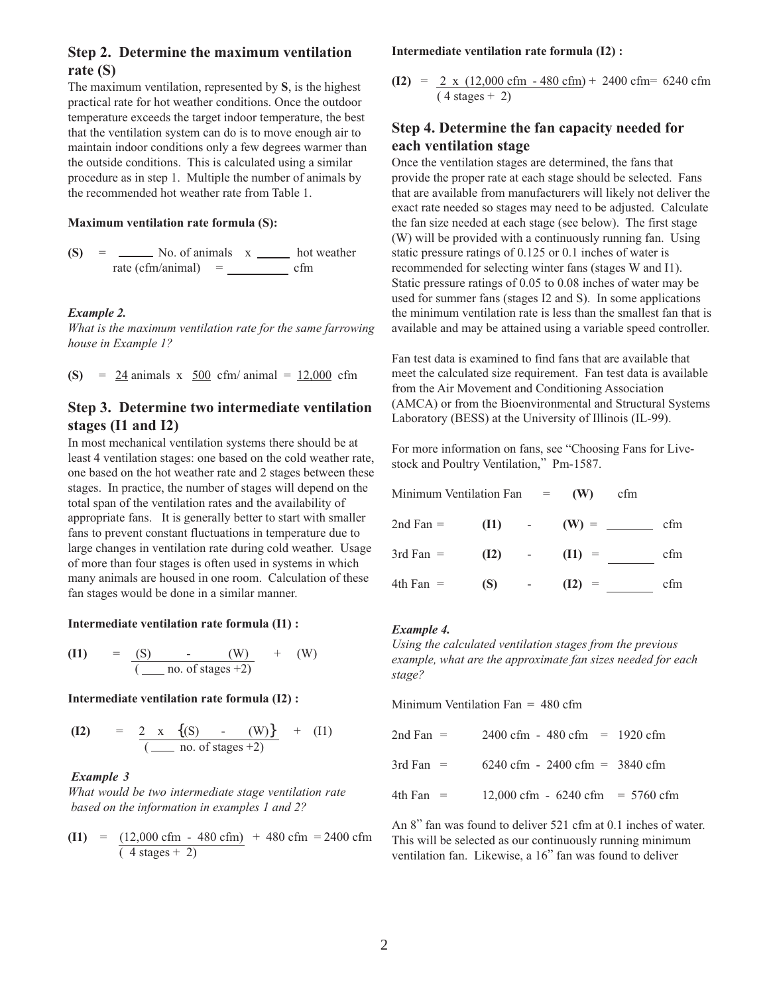## **Step 2. Determine the maximum ventilation rate (S)**

The maximum ventilation, represented by **S**, is the highest practical rate for hot weather conditions. Once the outdoor temperature exceeds the target indoor temperature, the best that the ventilation system can do is to move enough air to maintain indoor conditions only a few degrees warmer than the outside conditions. This is calculated using a similar procedure as in step 1. Multiple the number of animals by the recommended hot weather rate from Table 1.

#### **Maximum ventilation rate formula (S):**

 $(S) =$   $\frac{1}{s}$  No. of animals  $x \underline{\hspace{1cm}}$  hot weather rate (cfm/animal) = cfm

#### *Example 2.*

*What is the maximum ventilation rate for the same farrowing house in Example 1?*

**(S)** = 24 animals x 500 cfm/ animal = 12,000 cfm

## **Step 3. Determine two intermediate ventilation stages (I1 and I2)**

In most mechanical ventilation systems there should be at least 4 ventilation stages: one based on the cold weather rate, one based on the hot weather rate and 2 stages between these stages. In practice, the number of stages will depend on the total span of the ventilation rates and the availability of appropriate fans. It is generally better to start with smaller fans to prevent constant fluctuations in temperature due to large changes in ventilation rate during cold weather. Usage of more than four stages is often used in systems in which many animals are housed in one room. Calculation of these fan stages would be done in a similar manner.

#### **Intermediate ventilation rate formula (I1) :**

(11) = 
$$
\frac{(S)}{(\underline{\hspace{1cm}} \text{no. of stages} + 2)}
$$
 + (W)

#### **Intermediate ventilation rate formula (I2) :**

(12) = 
$$
\frac{2 \times \{(S) - (W)\}}{(-\text{no. of stages + 2})} + (11)
$$

#### *Example 3*

*What would be two intermediate stage ventilation rate based on the information in examples 1 and 2?*

(11) = 
$$
\frac{(12,000 \text{ cfm} - 480 \text{ cfm})}{(4 \text{ stages} + 2)}
$$
 + 480 cfm = 2400 cfm

**Intermediate ventilation rate formula (I2) :**

**(I2)** =  $\frac{2 \times (12,000 \text{ cfm} - 480 \text{ cfm}) + 2400 \text{ cfm}}{2400 \text{ cfm}}$  $(4 \text{ stages} + 2)$ 

## **Step 4. Determine the fan capacity needed for each ventilation stage**

Once the ventilation stages are determined, the fans that provide the proper rate at each stage should be selected. Fans that are available from manufacturers will likely not deliver the exact rate needed so stages may need to be adjusted. Calculate the fan size needed at each stage (see below). The first stage (W) will be provided with a continuously running fan. Using static pressure ratings of 0.125 or 0.1 inches of water is recommended for selecting winter fans (stages W and I1). Static pressure ratings of 0.05 to 0.08 inches of water may be used for summer fans (stages I2 and S). In some applications the minimum ventilation rate is less than the smallest fan that is available and may be attained using a variable speed controller.

Fan test data is examined to find fans that are available that meet the calculated size requirement. Fan test data is available from the Air Movement and Conditioning Association (AMCA) or from the Bioenvironmental and Structural Systems Laboratory (BESS) at the University of Illinois (IL-99).

For more information on fans, see "Choosing Fans for Livestock and Poultry Ventilation," Pm-1587.

| Minimum Ventilation Fan $=$ (W) |          |                 | cfm      |     |
|---------------------------------|----------|-----------------|----------|-----|
| $2nd Fan =$                     | $(11)$ - |                 | $(W) =$  | cfm |
| $3rd Fan =$                     | (12)     | $\sim 10^{-10}$ | $(I1) =$ | cfm |
| $4th$ Fan $=$                   | (S)      | $\sim 1000$     | $(I2) =$ | cfm |

#### *Example 4.*

*Using the calculated ventilation stages from the previous example, what are the approximate fan sizes needed for each stage?*

Minimum Ventilation Fan = 480 cfm

| 2nd Fan $=$   | $2400 \text{ cfm} - 480 \text{ cfm} = 1920 \text{ cfm}$  |  |
|---------------|----------------------------------------------------------|--|
| 3rd Fan $=$   | $6240 \text{ cfm} - 2400 \text{ cfm} = 3840 \text{ cfm}$ |  |
| $4th$ Fan $=$ | 12,000 cfm - 6240 cfm = 5760 cfm                         |  |

An 8" fan was found to deliver 521 cfm at 0.1 inches of water. This will be selected as our continuously running minimum ventilation fan. Likewise, a 16" fan was found to deliver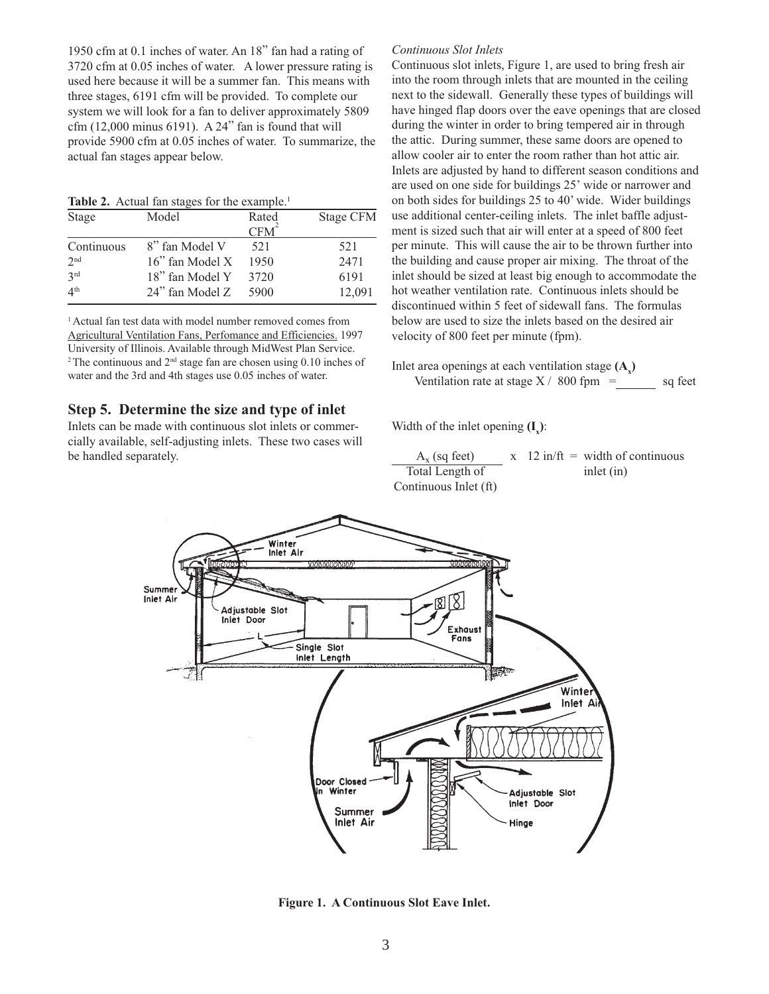1950 cfm at 0.1 inches of water. An 18" fan had a rating of 3720 cfm at 0.05 inches of water. A lower pressure rating is used here because it will be a summer fan. This means with three stages, 6191 cfm will be provided. To complete our system we will look for a fan to deliver approximately 5809 cfm (12,000 minus 6191). A 24" fan is found that will provide 5900 cfm at 0.05 inches of water. To summarize, the actual fan stages appear below.

**Table 2.** Actual fan stages for the example.<sup>1</sup>

| Stage           | Model           | Rated            | Stage CFM |
|-----------------|-----------------|------------------|-----------|
|                 |                 | CFM <sup>2</sup> |           |
| Continuous      | 8" fan Model V  | 521              | 521       |
| 2 <sub>nd</sub> | 16" fan Model X | 1950             | 2471      |
| 2rd             | 18" fan Model Y | 3720             | 6191      |
| 4 <sup>th</sup> | 24" fan Model Z | 5900             | 12,091    |

1 Actual fan test data with model number removed comes from Agricultural Ventilation Fans, Perfomance and Efficiencies. 1997 University of Illinois. Available through MidWest Plan Service. <sup>2</sup> The continuous and  $2<sup>nd</sup>$  stage fan are chosen using 0.10 inches of water and the 3rd and 4th stages use 0.05 inches of water.

### **Step 5. Determine the size and type of inlet**

Inlets can be made with continuous slot inlets or commercially available, self-adjusting inlets. These two cases will be handled separately.

#### *Continuous Slot Inlets*

Continuous slot inlets, Figure 1, are used to bring fresh air into the room through inlets that are mounted in the ceiling next to the sidewall. Generally these types of buildings will have hinged flap doors over the eave openings that are closed during the winter in order to bring tempered air in through the attic. During summer, these same doors are opened to allow cooler air to enter the room rather than hot attic air. Inlets are adjusted by hand to different season conditions and are used on one side for buildings 25' wide or narrower and on both sides for buildings 25 to 40' wide. Wider buildings use additional center-ceiling inlets. The inlet baffle adjustment is sized such that air will enter at a speed of 800 feet per minute. This will cause the air to be thrown further into the building and cause proper air mixing. The throat of the inlet should be sized at least big enough to accommodate the hot weather ventilation rate. Continuous inlets should be discontinued within 5 feet of sidewall fans. The formulas below are used to size the inlets based on the desired air velocity of 800 feet per minute (fpm).

Inlet area openings at each ventilation stage  $(A_x)$ Ventilation rate at stage  $X / 800$  fpm = sq feet

Width of the inlet opening  $(I_x)$ :

 $A_x$  (sq feet)  $x$  12 in/ft = width of continuous<br>
inlet (in) Total Length of Continuous Inlet (ft)



**Figure 1. A Continuous Slot Eave Inlet.**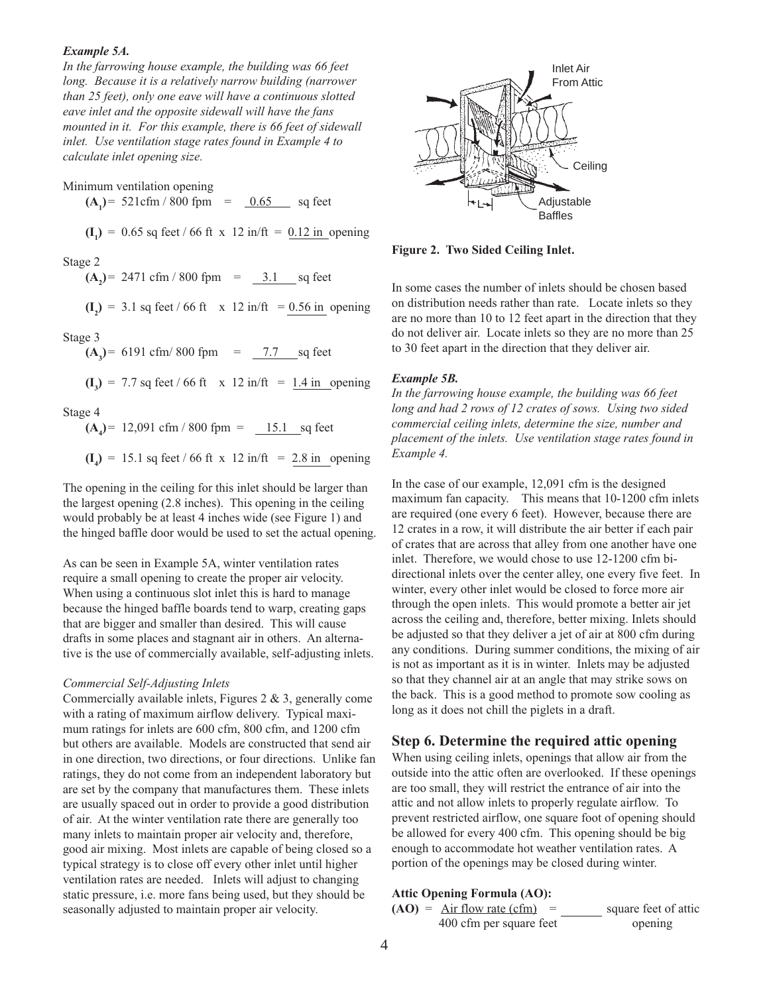#### *Example 5A.*

*In the farrowing house example, the building was 66 feet long. Because it is a relatively narrow building (narrower than 25 feet), only one eave will have a continuous slotted eave inlet and the opposite sidewall will have the fans mounted in it. For this example, there is 66 feet of sidewall inlet. Use ventilation stage rates found in Example 4 to calculate inlet opening size.*

Minimum ventilation opening

 $(A_1)$  = 521cfm / 800 fpm =  $(0.65)$  sq feet

 $(I_1) = 0.65$  sq feet / 66 ft x 12 in/ft =  $0.12$  in opening

Stage 2

 $(A_2)$  = 2471 cfm / 800 fpm =  $(3.1 \text{ sq feet})$ 

 $(I_2)$  = 3.1 sq feet / 66 ft x 12 in/ft =  $\frac{0.56 \text{ in}}{0.56 \text{ in}}$  opening

Stage 3

 $(A_3)$  = 6191 cfm/800 fpm =  $7.7$  sq feet

 $(I_3) = 7.7$  sq feet / 66 ft x 12 in/ft =  $\underline{1.4}$  in opening

Stage 4

 $(A_4)$  = 12,091 cfm / 800 fpm =  $15.1$  sq feet

 $(I_4) = 15.1$  sq feet / 66 ft x 12 in/ft =  $2.8$  in opening

The opening in the ceiling for this inlet should be larger than the largest opening (2.8 inches). This opening in the ceiling would probably be at least 4 inches wide (see Figure 1) and the hinged baffle door would be used to set the actual opening.

As can be seen in Example 5A, winter ventilation rates require a small opening to create the proper air velocity. When using a continuous slot inlet this is hard to manage because the hinged baffle boards tend to warp, creating gaps that are bigger and smaller than desired. This will cause drafts in some places and stagnant air in others. An alternative is the use of commercially available, self-adjusting inlets.

#### *Commercial Self-Adjusting Inlets*

Commercially available inlets, Figures 2 & 3, generally come with a rating of maximum airflow delivery. Typical maximum ratings for inlets are 600 cfm, 800 cfm, and 1200 cfm but others are available. Models are constructed that send air in one direction, two directions, or four directions. Unlike fan ratings, they do not come from an independent laboratory but are set by the company that manufactures them. These inlets are usually spaced out in order to provide a good distribution of air. At the winter ventilation rate there are generally too many inlets to maintain proper air velocity and, therefore, good air mixing. Most inlets are capable of being closed so a typical strategy is to close off every other inlet until higher ventilation rates are needed. Inlets will adjust to changing static pressure, i.e. more fans being used, but they should be seasonally adjusted to maintain proper air velocity.



**Figure 2. Two Sided Ceiling Inlet.**

In some cases the number of inlets should be chosen based on distribution needs rather than rate. Locate inlets so they are no more than 10 to 12 feet apart in the direction that they do not deliver air. Locate inlets so they are no more than 25 to 30 feet apart in the direction that they deliver air.

#### *Example 5B.*

*In the farrowing house example, the building was 66 feet long and had 2 rows of 12 crates of sows. Using two sided commercial ceiling inlets, determine the size, number and placement of the inlets. Use ventilation stage rates found in Example 4.*

In the case of our example, 12,091 cfm is the designed maximum fan capacity. This means that 10-1200 cfm inlets are required (one every 6 feet). However, because there are 12 crates in a row, it will distribute the air better if each pair of crates that are across that alley from one another have one inlet. Therefore, we would chose to use 12-1200 cfm bidirectional inlets over the center alley, one every five feet. In winter, every other inlet would be closed to force more air through the open inlets. This would promote a better air jet across the ceiling and, therefore, better mixing. Inlets should be adjusted so that they deliver a jet of air at 800 cfm during any conditions. During summer conditions, the mixing of air is not as important as it is in winter. Inlets may be adjusted so that they channel air at an angle that may strike sows on the back. This is a good method to promote sow cooling as long as it does not chill the piglets in a draft.

#### **Step 6. Determine the required attic opening**

When using ceiling inlets, openings that allow air from the outside into the attic often are overlooked. If these openings are too small, they will restrict the entrance of air into the attic and not allow inlets to properly regulate airflow. To prevent restricted airflow, one square foot of opening should be allowed for every 400 cfm. This opening should be big enough to accommodate hot weather ventilation rates. A portion of the openings may be closed during winter.

#### **Attic Opening Formula (AO):**

 $(AO) = Air flow rate (cfm) = square feet of atic$ 400 cfm per square feet opening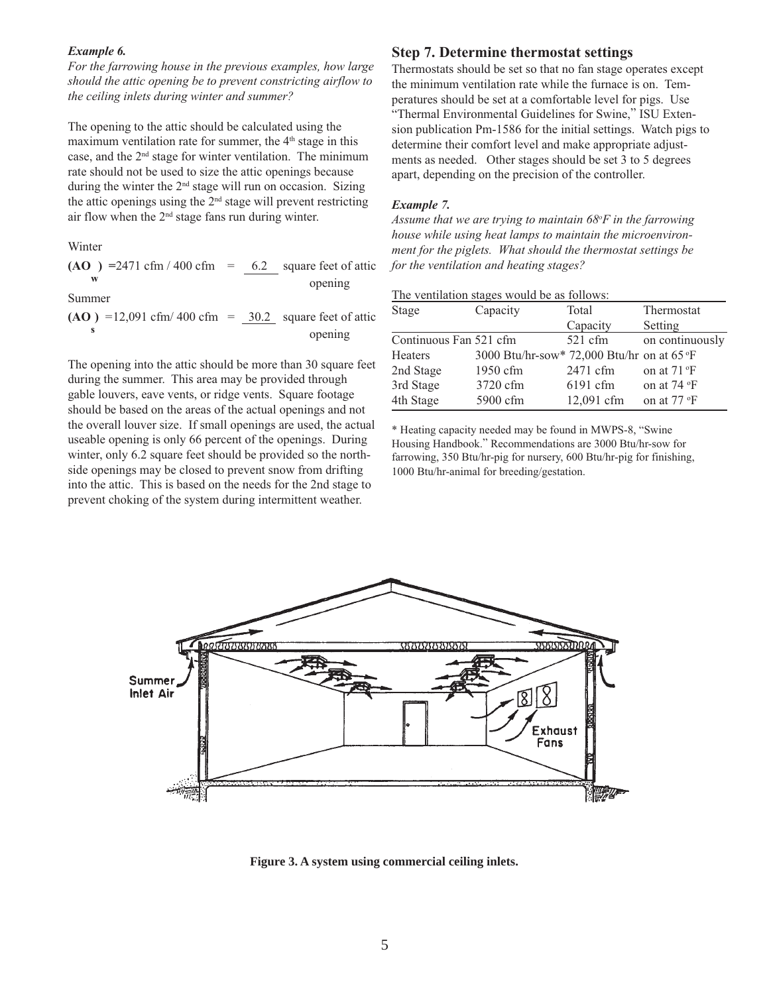#### *Example 6.*

*For the farrowing house in the previous examples, how large should the attic opening be to prevent constricting airflow to the ceiling inlets during winter and summer?*

The opening to the attic should be calculated using the maximum ventilation rate for summer, the  $4<sup>th</sup>$  stage in this case, and the 2nd stage for winter ventilation. The minimum rate should not be used to size the attic openings because during the winter the 2<sup>nd</sup> stage will run on occasion. Sizing the attic openings using the  $2<sup>nd</sup>$  stage will prevent restricting air flow when the 2nd stage fans run during winter.

Winter

 $(AO)$  = 2471 cfm / 400 cfm =  $\underline{6.2}$  square feet of attic opening

Summer

$$
(AO) = 12,091 \text{ cfm} / 400 \text{ cfm} = \underline{30.2} \text{ square feet of atticopening}
$$

The opening into the attic should be more than 30 square feet during the summer. This area may be provided through gable louvers, eave vents, or ridge vents. Square footage should be based on the areas of the actual openings and not the overall louver size. If small openings are used, the actual useable opening is only 66 percent of the openings. During winter, only 6.2 square feet should be provided so the northside openings may be closed to prevent snow from drifting into the attic. This is based on the needs for the 2nd stage to prevent choking of the system during intermittent weather.

### **Step 7. Determine thermostat settings**

Thermostats should be set so that no fan stage operates except the minimum ventilation rate while the furnace is on. Temperatures should be set at a comfortable level for pigs. Use "Thermal Environmental Guidelines for Swine," ISU Extension publication Pm-1586 for the initial settings. Watch pigs to determine their comfort level and make appropriate adjustments as needed. Other stages should be set 3 to 5 degrees apart, depending on the precision of the controller.

#### *Example 7.*

*Assume that we are trying to maintain 68o F in the farrowing house while using heat lamps to maintain the microenvironment for the piglets. What should the thermostat settings be for the ventilation and heating stages?*

| The ventilation stages would be as follows: |                                            |            |                      |  |
|---------------------------------------------|--------------------------------------------|------------|----------------------|--|
| Stage                                       | Capacity                                   | Total      | Thermostat           |  |
|                                             |                                            | Capacity   | Setting              |  |
| Continuous Fan 521 cfm                      |                                            | $521$ cfm  | on continuously      |  |
| <b>Heaters</b>                              | 3000 Btu/hr-sow* 72,000 Btu/hr on at 65 °F |            |                      |  |
| 2nd Stage                                   | 1950 cfm                                   | 2471 cfm   | on at $71 \text{°F}$ |  |
| 3rd Stage                                   | 3720 cfm                                   | $6191$ cfm | on at 74 °F          |  |

on at 77 °F

\* Heating capacity needed may be found in MWPS-8, "Swine Housing Handbook." Recommendations are 3000 Btu/hr-sow for farrowing, 350 Btu/hr-pig for nursery, 600 Btu/hr-pig for finishing, 1000 Btu/hr-animal for breeding/gestation.

4th Stage 5900 cfm 12,091 cfm



**Figure 3. A system using commercial ceiling inlets.**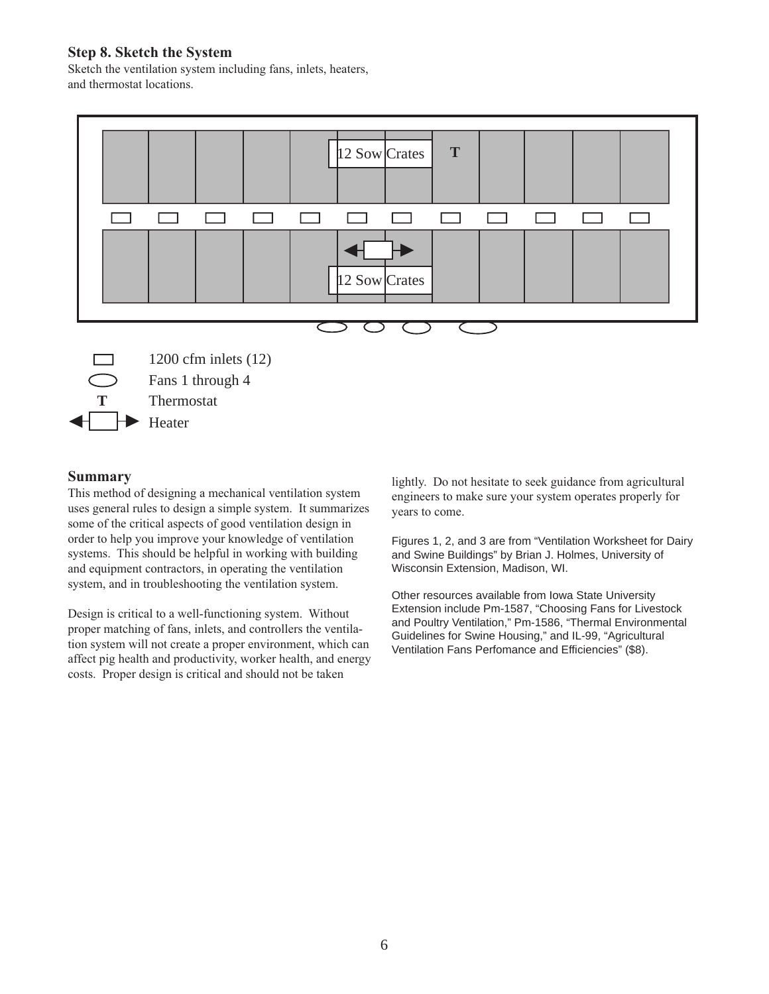## **Step 8. Sketch the System**

Sketch the ventilation system including fans, inlets, heaters, and thermostat locations.



### **Summary**

This method of designing a mechanical ventilation system uses general rules to design a simple system. It summarizes some of the critical aspects of good ventilation design in order to help you improve your knowledge of ventilation systems. This should be helpful in working with building and equipment contractors, in operating the ventilation system, and in troubleshooting the ventilation system.

Design is critical to a well-functioning system. Without proper matching of fans, inlets, and controllers the ventilation system will not create a proper environment, which can affect pig health and productivity, worker health, and energy costs. Proper design is critical and should not be taken

lightly. Do not hesitate to seek guidance from agricultural engineers to make sure your system operates properly for years to come.

Figures 1, 2, and 3 are from "Ventilation Worksheet for Dairy and Swine Buildings" by Brian J. Holmes, University of Wisconsin Extension, Madison, WI.

Other resources available from Iowa State University Extension include Pm-1587, "Choosing Fans for Livestock and Poultry Ventilation," Pm-1586, "Thermal Environmental Guidelines for Swine Housing," and IL-99, "Agricultural Ventilation Fans Perfomance and Efficiencies" (\$8).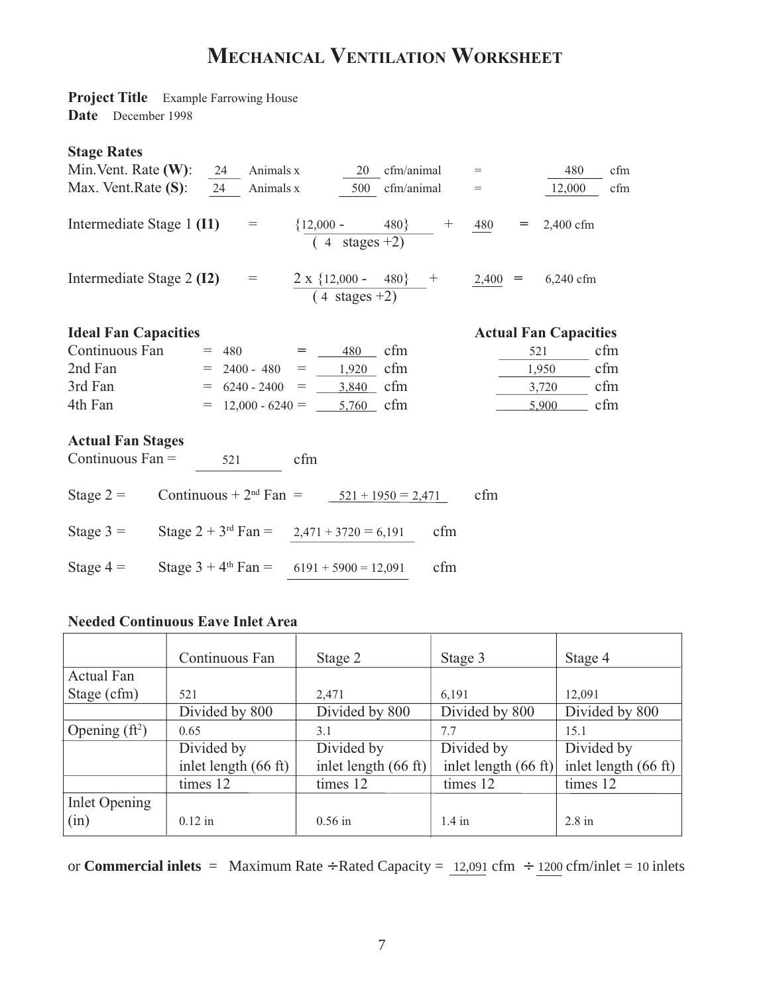# **MECHANICAL VENTILATION WORKSHEET**

**Project Title** Example Farrowing House **Date** December 1998

## **Stage Rates**

| Min. Vent. Rate $(W)$ :                        | 24  | Animals x                           |                                                          | 20                                  | cfm/animal     |     | $\!\!\!=\!\!\!\!$ |     | 480                                                                                        | cfm |
|------------------------------------------------|-----|-------------------------------------|----------------------------------------------------------|-------------------------------------|----------------|-----|-------------------|-----|--------------------------------------------------------------------------------------------|-----|
| Max. Vent. Rate $(S)$ :                        | 24  | Animals x                           |                                                          |                                     | 500 cfm/animal |     | $=$               |     | 12,000                                                                                     | cfm |
| Intermediate Stage 1 (I1)                      |     | $\hspace*{0.4em} = \hspace*{0.4em}$ | ${12,000 - 480}$ + $480$                                 | $\overline{4 \ \ \text{stages}+2)}$ |                |     |                   |     | $= 2,400$ cfm                                                                              |     |
| Intermediate Stage 2 (I2)                      |     | $=$ $\qquad$                        |                                                          |                                     |                |     |                   |     | $\frac{2 \times \{12,000 - 480\}}{(4 \text{ stages} + 2)}$ + $\frac{2,400}{2}$ = 6,240 cfm |     |
|                                                |     |                                     |                                                          |                                     |                |     |                   |     |                                                                                            |     |
| <b>Ideal Fan Capacities</b>                    |     |                                     |                                                          |                                     |                |     |                   |     | <b>Actual Fan Capacities</b>                                                               |     |
| Continuous Fan                                 |     |                                     | $= 480 = 480$                                            |                                     | cfm            |     |                   | 521 |                                                                                            | cfm |
| 2nd Fan                                        |     |                                     | $= 2400 - 480 = 1,920$                                   |                                     | cfm            |     |                   |     | 1,950                                                                                      | cfm |
| 3rd Fan                                        |     | $= 6240 - 2400$                     | $=$ 3,840                                                |                                     | cfm            |     |                   |     | 3,720                                                                                      | cfm |
| 4th Fan                                        |     |                                     | $=$ 12,000 - 6240 = 5,760                                |                                     | cfm            |     |                   |     | 5,900                                                                                      | cfm |
| <b>Actual Fan Stages</b><br>Continuous $Fan =$ | 521 |                                     | cfm                                                      |                                     |                |     |                   |     |                                                                                            |     |
| Stage $2 =$                                    |     |                                     | Continuous + $2nd Fan = 521 + 1950 = 2,471$              |                                     |                |     | cfm               |     |                                                                                            |     |
| Stage $3 =$                                    |     |                                     | Stage $2 + 3^{rd}$ Fan = 2,471 + 3720 = 6,191            |                                     |                | cfm |                   |     |                                                                                            |     |
| Stage $4 =$                                    |     |                                     | Stage $3 + 4$ <sup>th</sup> Fan = $6191 + 5900 = 12,091$ |                                     |                | cfm |                   |     |                                                                                            |     |

## **Needed Continuous Eave Inlet Area**

|                  | Continuous Fan                 | Stage 2                        | Stage 3              | Stage 4                        |
|------------------|--------------------------------|--------------------------------|----------------------|--------------------------------|
| Actual Fan       |                                |                                |                      |                                |
| Stage (cfm)      | 521                            | 2,471                          | 6.191                | 12.091                         |
|                  | Divided by 800                 | Divided by 800                 | Divided by 800       | Divided by 800                 |
| Opening $(ft^2)$ | 0.65                           | 3.1                            | 7.7                  | 15.1                           |
|                  | Divided by                     | Divided by                     | Divided by           | Divided by                     |
|                  | inlet length $(66 \text{ ft})$ | inlet length $(66 \text{ ft})$ | inlet length (66 ft) | inlet length $(66 \text{ ft})$ |
|                  | times 12                       | times 12                       | times 12             | times 12                       |
| Inlet Opening    |                                |                                |                      |                                |
| (in)             | $0.12$ in                      | $0.56$ in                      | $1.4$ in             | $2.8 \text{ in}$               |

or **Commercial inlets** = Maximum Rate ÷ Rated Capacity = 12,091 cfm ÷ 1200 cfm/inlet = 10 inlets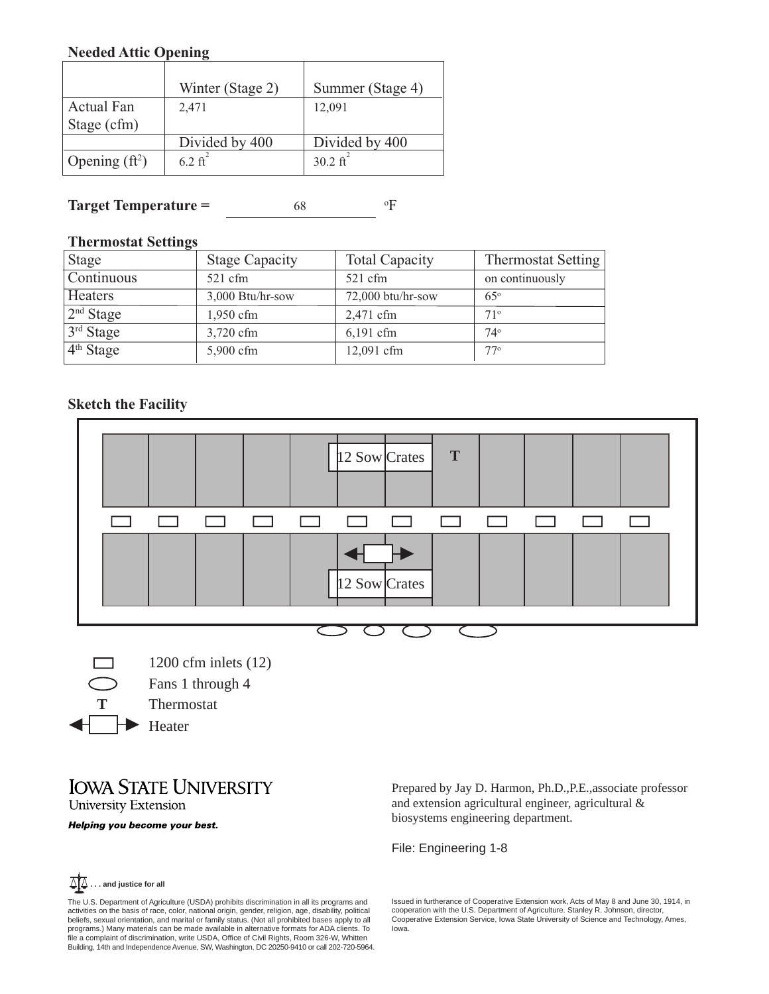## **Needed Attic Opening**

|                   | Winter (Stage 2)   | Summer (Stage 4)    |
|-------------------|--------------------|---------------------|
| <b>Actual Fan</b> | 2,471              | 12,091              |
| Stage (cfm)       |                    |                     |
|                   | Divided by 400     | Divided by 400      |
| Opening $(ft^2)$  | $6.2 \text{ ft}^2$ | $30.2 \text{ ft}^2$ |

#### **Target Temperature =** 68 F

## **Thermostat Settings**

| <b>Stage</b>          | <b>Stage Capacity</b> | <b>Total Capacity</b> | <b>Thermostat Setting</b> |
|-----------------------|-----------------------|-----------------------|---------------------------|
| Continuous            | $521 \text{ cfm}$     | $521$ cfm             | on continuously           |
| <b>Heaters</b>        | $3,000$ Btu/hr-sow    | 72,000 btu/hr-sow     | $65^\circ$                |
| 2 <sup>nd</sup> Stage | $1,950$ cfm           | 2,471 cfm             | 71°                       |
| 3rd Stage             | 3,720 cfm             | $6,191$ cfm           | $74^\circ$                |
| $4th$ Stage           | 5,900 cfm             | 12,091 cfm            | $77^\circ$                |

# **Sketch the Facility**



1200 cfm inlets (12) Fans 1 through 4 Thermostat  $\blacktriangleright$  Heater

# **IOWA STATE UNIVERSITY University Extension**

Helping you become your best.

Prepared by Jay D. Harmon, Ph.D.,P.E.,associate professor and extension agricultural engineer, agricultural & biosystems engineering department.

File: Engineering 1-8

Issued in furtherance of Cooperative Extension work, Acts of May 8 and June 30, 1914, in cooperation with the U.S. Department of Agriculture. Stanley R. Johnson, director, Cooperative Extension Service, Iowa State University of Science and Technology, Ames, Iowa.



**T**

The U.S. Department of Agriculture (USDA) prohibits discrimination in all its programs and activities on the basis of race, color, national origin, gender, religion, age, disability, political beliefs, sexual orientation, and marital or family status. (Not all prohibited bases apply to all<br>programs.) Many materials can be made available in alternative formats for ADA clients. To<br>file a complaint of discriminatio Building, 14th and Independence Avenue, SW, Washington, DC 20250-9410 or call 202-720-5964.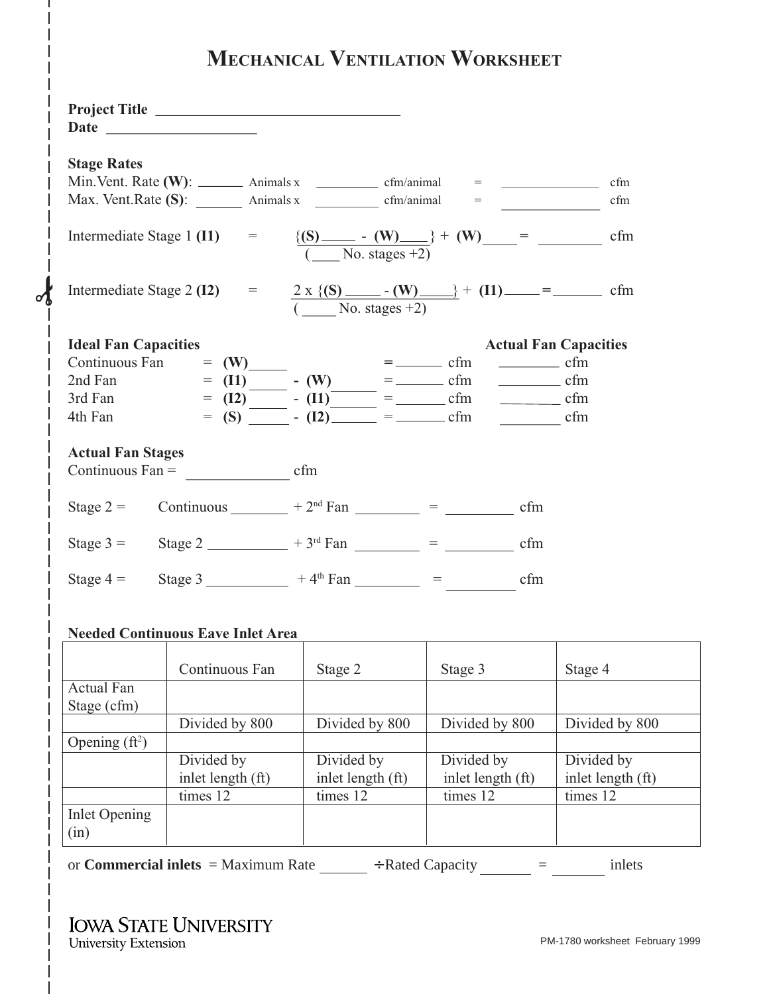# **MECHANICAL VENTILATION WORKSHEET**

|                             | Project Title                            |                                                                |                                                                                                                   |                              |
|-----------------------------|------------------------------------------|----------------------------------------------------------------|-------------------------------------------------------------------------------------------------------------------|------------------------------|
| <b>Stage Rates</b>          |                                          |                                                                |                                                                                                                   |                              |
|                             |                                          |                                                                | Min. Vent. Rate (W): $\_\_\_\_\_\$ Animals x $\_\_\_\_\_\$ cfm/animal = $\_\_\_\_\_\_\_\_\_\$                     | cfm                          |
|                             |                                          |                                                                | Max. Vent. Rate $(S)$ : $\qquad \qquad$ Animals x $\qquad \qquad$ cfm/animal $\qquad =$                           | cfm                          |
|                             |                                          |                                                                |                                                                                                                   | cfm                          |
|                             |                                          |                                                                |                                                                                                                   | cfm                          |
| <b>Ideal Fan Capacities</b> |                                          |                                                                |                                                                                                                   | <b>Actual Fan Capacities</b> |
|                             | Continuous Fan $= (W)$                   |                                                                | $=$ $\frac{1}{\text{cm}}$ $\frac{1}{\text{cm}}$ $\frac{1}{\text{cm}}$ $\frac{1}{\text{cm}}$ $\frac{1}{\text{cm}}$ |                              |
| 2nd Fan                     |                                          | $=$ (11) $-$ (W) $=$ $-$ cfm<br>= (12) $ -$ (11) $  -$ cfm     |                                                                                                                   | $\frac{\ }{\ }$ cfm          |
| 3rd Fan                     |                                          |                                                                |                                                                                                                   | $\frac{\ }{\ }$ cfm          |
| 4th Fan                     |                                          | $=$ (S) $\overline{\qquad}$ - (I2) $\qquad =$ $\qquad$ cfm     |                                                                                                                   | $\frac{\ }{\ }$ cfm          |
| <b>Actual Fan Stages</b>    |                                          |                                                                |                                                                                                                   |                              |
|                             | Continuous $Fan =$ cfm                   |                                                                |                                                                                                                   |                              |
| Stage $2 =$                 |                                          |                                                                | Continuous $+2^{nd} Fan$ $ =$ $ cfm$                                                                              |                              |
| Stage $3 =$                 |                                          |                                                                | Stage 2 $+3^{rd}$ Fan $-$ = $-$ cfm                                                                               |                              |
|                             |                                          | Stage 4 = Stage 3 ____________ + 4 <sup>th</sup> Fan _______ = | cfm                                                                                                               |                              |
|                             | <b>Needed Continuous Eave Inlet Area</b> |                                                                |                                                                                                                   |                              |
|                             | Continuous Fan                           | Stage 2                                                        | Stage 3                                                                                                           | Stage 4                      |
| <b>Actual Fan</b>           |                                          |                                                                |                                                                                                                   |                              |
| Stage (cfm)                 |                                          |                                                                |                                                                                                                   |                              |
|                             | Divided by 800                           | Divided by 800                                                 | Divided by 800                                                                                                    | Divided by 800               |
| Opening $(ft^2)$            |                                          |                                                                |                                                                                                                   |                              |

| Opening $(ft^2)$      |                     |                   |                   |                   |
|-----------------------|---------------------|-------------------|-------------------|-------------------|
|                       | Divided by          | Divided by        | Divided by        | Divided by        |
|                       | inlet length $(ft)$ | inlet length (ft) | inlet length (ft) | inlet length (ft) |
|                       | times 12            | times 12          | times 12          | times 12          |
| Inlet Opening<br>(in) |                     |                   |                   |                   |

or **Commercial inlets** = Maximum Rate  $\_\_\_\$  ÷ Rated Capacity  $\_\_\_\_\_\_\_\$  =  $\_\_\_\_\$  inlets

✁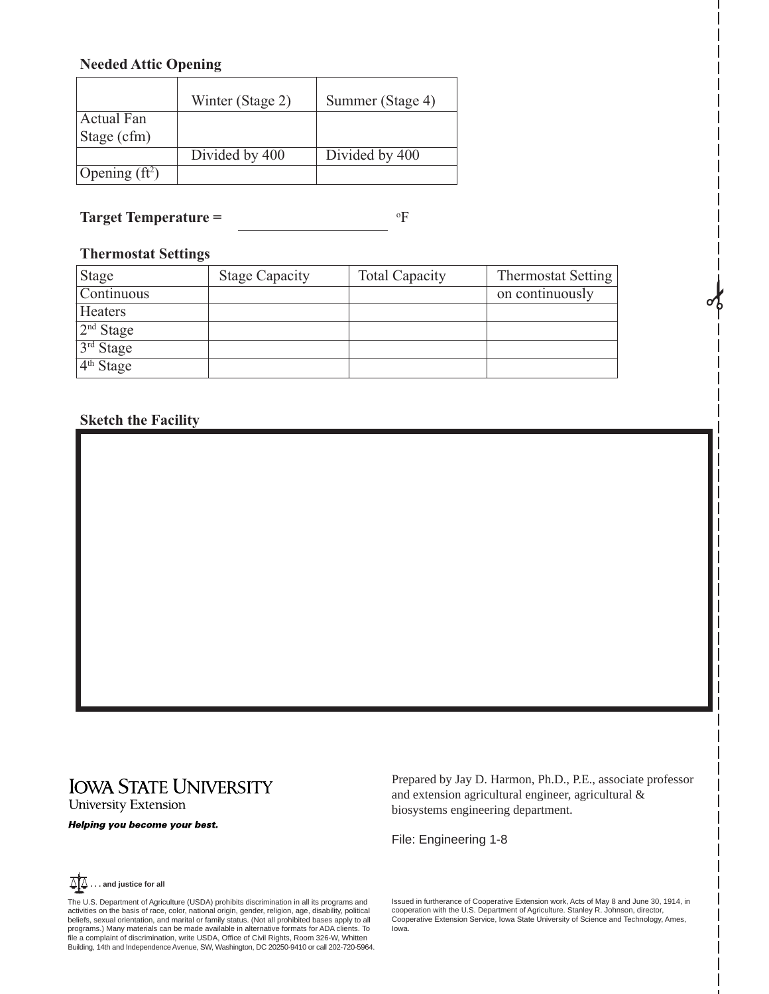## **Needed Attic Opening**

|                  | Winter (Stage 2) | Summer (Stage 4) |
|------------------|------------------|------------------|
| Actual Fan       |                  |                  |
| Stage (cfm)      |                  |                  |
|                  | Divided by 400   | Divided by 400   |
| Opening $(ft^2)$ |                  |                  |

**Target Temperature =** F

## **Thermostat Settings**

| Stage                 | <b>Stage Capacity</b> | <b>Total Capacity</b> | <b>Thermostat Setting</b> |
|-----------------------|-----------------------|-----------------------|---------------------------|
| Continuous            |                       |                       | on continuously           |
| Heaters               |                       |                       |                           |
| 2 <sup>nd</sup> Stage |                       |                       |                           |
| 3rd Stage             |                       |                       |                           |
| 4 <sup>th</sup> Stage |                       |                       |                           |

## **Sketch the Facility**

# **IOWA STATE UNIVERSITY** University Extension

Helping you become your best.

Prepared by Jay D. Harmon, Ph.D., P.E., associate professor and extension agricultural engineer, agricultural & biosystems engineering department.

**SAC** 

File: Engineering 1-8



The U.S. Department of Agriculture (USDA) prohibits discrimination in all its programs and activities on the basis of race, color, national origin, gender, religion, age, disability, political beliefs, sexual orientation, and marital or family status. (Not all prohibited bases apply to all<br>programs.) Many materials can be made available in alternative formats for ADA clients. To<br>file a complaint of discriminatio Building, 14th and Independence Avenue, SW, Washington, DC 20250-9410 or call 202-720-5964. Issued in furtherance of Cooperative Extension work, Acts of May 8 and June 30, 1914, in cooperation with the U.S. Department of Agriculture. Stanley R. Johnson, director, Cooperative Extension Service, Iowa State University of Science and Technology, Ames, Iowa.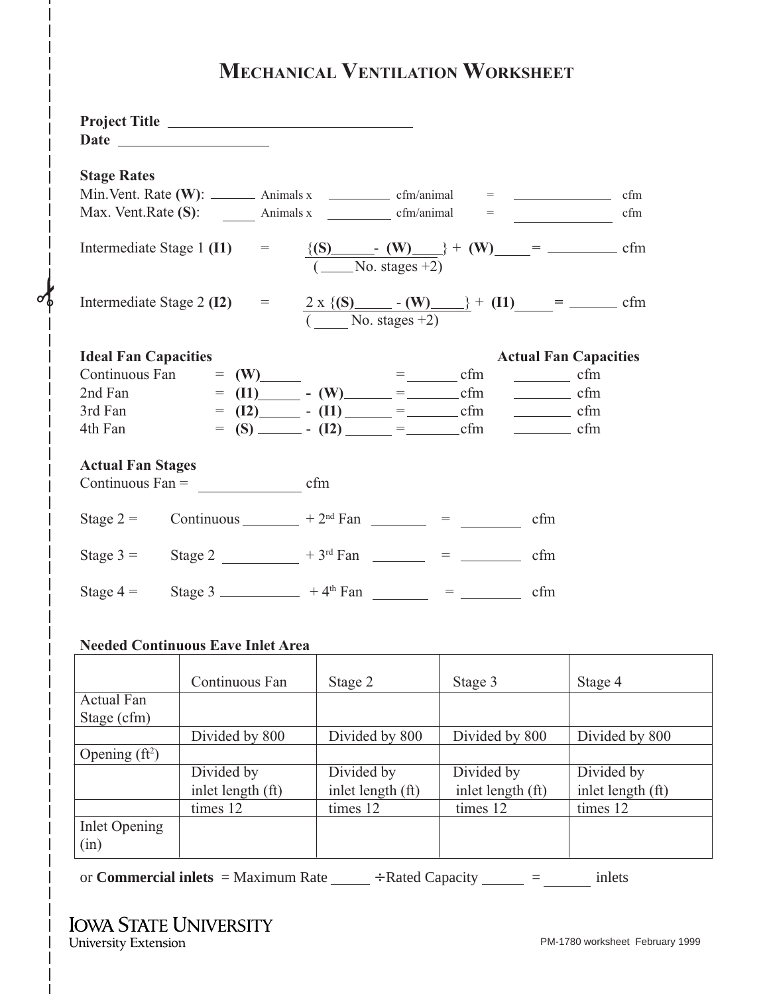# **MECHANICAL VENTILATION WORKSHEET**

|                                                                                                                                                                                                                                                                                                                           | Project Title                                                                                                                                                                                                                                                                                                      |                   |                                   |                                                                            |
|---------------------------------------------------------------------------------------------------------------------------------------------------------------------------------------------------------------------------------------------------------------------------------------------------------------------------|--------------------------------------------------------------------------------------------------------------------------------------------------------------------------------------------------------------------------------------------------------------------------------------------------------------------|-------------------|-----------------------------------|----------------------------------------------------------------------------|
| <b>Stage Rates</b><br>Min. Vent. Rate $(W)$ : $\_\_\_\_\_\$ Animals x $\_\_\_\_\_\$ cfm/animal $\_\_\_\_\_\_\_\_\_\_\_\$<br>cfm<br>Max. Vent. Rate (S): $\qquad \qquad$ Animals x $\qquad \qquad$ cfm/animal $\qquad = \qquad \qquad$<br>cfm<br>Intermediate Stage 1 (I1) = $\{(S)$ (W) + (W) = cfm<br>$($ No. stages +2) |                                                                                                                                                                                                                                                                                                                    |                   |                                   |                                                                            |
|                                                                                                                                                                                                                                                                                                                           | Intermediate Stage 2 (I2) = $2 \times \{(S)$ - (W) + (I1) = - cfm                                                                                                                                                                                                                                                  | $(No. stages +2)$ |                                   |                                                                            |
| <b>Ideal Fan Capacities</b><br>4th Fan                                                                                                                                                                                                                                                                                    | Continuous Fan $=$ (W) $=$ $-$ cfm<br>2nd Fan $= (I1)$ $- (W)$ $=$ $ \text{cfm}$<br>3rd Fan $= (I2)$ $-I(1)$ $=$ $I(1)$ $=$ $I(1)$ $=$ $I(1)$ $=$ $I(1)$ $=$ $I(1)$ $=$ $I(1)$ $=$ $I(1)$ $=$ $I(1)$ $=$ $I(1)$ $=$ $I(1)$ $=$ $I(1)$ $=$ $I(1)$ $=$ $I(1)$ $=$ $I(1)$ $=$ $I(1)$ $=$ $I(1)$ $=$ $I(1)$ $=$ $I(1)$ |                   |                                   | <b>Actual Fan Capacities</b><br>$\frac{\ }{\ }$ cfm<br>$\frac{\ }{\ }$ cfm |
| <b>Actual Fan Stages</b>                                                                                                                                                                                                                                                                                                  |                                                                                                                                                                                                                                                                                                                    |                   |                                   |                                                                            |
| Stage $2 =$                                                                                                                                                                                                                                                                                                               |                                                                                                                                                                                                                                                                                                                    |                   | Continuous $+2^{nd} Fan$ $ =$ $-$ | cfm                                                                        |
|                                                                                                                                                                                                                                                                                                                           | Stage 3 = Stage 2 _________ + 3 <sup>rd</sup> Fan _____ = _____                                                                                                                                                                                                                                                    |                   |                                   | cfm                                                                        |
| Stage $4 =$                                                                                                                                                                                                                                                                                                               |                                                                                                                                                                                                                                                                                                                    |                   | Stage 3 $+4^{\text{th}}$ Fan $ =$ | cfm                                                                        |

# **Needed Continuous Eave Inlet Area**

**SP** 

|                  | Continuous Fan          | Stage 2           | Stage 3           | Stage 4                 |
|------------------|-------------------------|-------------------|-------------------|-------------------------|
| Actual Fan       |                         |                   |                   |                         |
| Stage (cfm)      |                         |                   |                   |                         |
|                  | Divided by 800          | Divided by 800    | Divided by 800    | Divided by 800          |
| Opening $(ft^2)$ |                         |                   |                   |                         |
|                  | $\overline{Divided}$ by | Divided by        | Divided by        | $\overline{Divided}$ by |
|                  | inlet length (ft)       | inlet length (ft) | inlet length (ft) | inlet length (ft)       |
|                  | times 12                | times 12          | times 12          | times 12                |
| Inlet Opening    |                         |                   |                   |                         |
| (in)             |                         |                   |                   |                         |

or **Commercial inlets** = Maximum Rate  $\qquad$  ÷ Rated Capacity  $\qquad$  = inlets